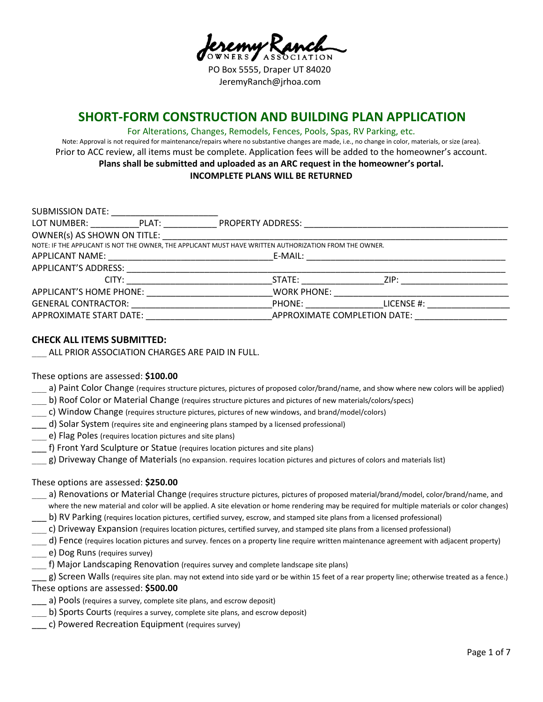PO Box 5555, Draper UT 84020 JeremyRanch@jrhoa.com

# **SHORT-FORM CONSTRUCTION AND BUILDING PLAN APPLICATION**

#### For Alterations, Changes, Remodels, Fences, Pools, Spas, RV Parking, etc.

Note: Approval is not required for maintenance/repairs where no substantive changes are made, i.e., no change in color, materials, or size (area). Prior to ACC review, all items must be complete. Application fees will be added to the homeowner's account. **Plans shall be submitted and uploaded as an ARC request in the homeowner's portal. INCOMPLETE PLANS WILL BE RETURNED**

| SUBMISSION DATE:                                                                                       |                                                                                                                                                                                                                                        |  |  |  |
|--------------------------------------------------------------------------------------------------------|----------------------------------------------------------------------------------------------------------------------------------------------------------------------------------------------------------------------------------------|--|--|--|
| LOT NUMBER: PLAT:                                                                                      | PROPERTY ADDRESS:                                                                                                                                                                                                                      |  |  |  |
| OWNER(s) AS SHOWN ON TITLE:                                                                            |                                                                                                                                                                                                                                        |  |  |  |
| NOTE: IF THE APPLICANT IS NOT THE OWNER, THE APPLICANT MUST HAVE WRITTEN AUTHORIZATION FROM THE OWNER. |                                                                                                                                                                                                                                        |  |  |  |
|                                                                                                        | E-MAIL:                                                                                                                                                                                                                                |  |  |  |
| APPLICANT'S ADDRESS:                                                                                   |                                                                                                                                                                                                                                        |  |  |  |
| CITY:                                                                                                  | STATE: and the state of the state of the state of the state of the state of the state of the state of the state of the state of the state of the state of the state of the state of the state of the state of the state of the<br>ZIP: |  |  |  |
| APPLICANT'S HOME PHONE:                                                                                | <b>WORK PHONE:</b>                                                                                                                                                                                                                     |  |  |  |
| <b>GENERAL CONTRACTOR:</b>                                                                             | PHONE:<br>LICENSE #:                                                                                                                                                                                                                   |  |  |  |
| APPROXIMATE START DATE:                                                                                | APPROXIMATE COMPLETION DATE:                                                                                                                                                                                                           |  |  |  |

## **CHECK ALL ITEMS SUBMITTED:**

ALL PRIOR ASSOCIATION CHARGES ARE PAID IN FULL.

#### These options are assessed: **\$100.00**

- a) Paint Color Change (requires structure pictures, pictures of proposed color/brand/name, and show where new colors will be applied)
- \_\_\_ b) Roof Color or Material Change (requires structure pictures and pictures of new materials/colors/specs)
- \_\_\_ c) Window Change (requires structure pictures, pictures of new windows, and brand/model/colors)
- d) Solar System (requires site and engineering plans stamped by a licensed professional)
- e) Flag Poles (requires location pictures and site plans)
- \_\_\_ f) Front Yard Sculpture or Statue (requires location pictures and site plans)
- g) Driveway Change of Materials (no expansion. requires location pictures and pictures of colors and materials list)

#### These options are assessed: **\$250.00**

- \_\_\_ a) Renovations or Material Change (requires structure pictures, pictures of proposed material/brand/model, color/brand/name, and where the new material and color will be applied. A site elevation or home rendering may be required for multiple materials or color changes)
- \_\_\_ b) RV Parking (requires location pictures, certified survey, escrow, and stamped site plans from a licensed professional)
- \_\_\_ c) Driveway Expansion (requires location pictures, certified survey, and stamped site plans from a licensed professional)
- \_\_\_ d) Fence (requires location pictures and survey. fences on a property line require written maintenance agreement with adjacent property)
- \_\_\_ e) Dog Runs (requires survey)
- \_\_\_ f) Major Landscaping Renovation (requires survey and complete landscape site plans)

\_\_\_ g) Screen Walls (requires site plan. may not extend into side yard or be within 15 feet of a rear property line; otherwise treated as a fence.) These options are assessed: **\$500.00**

- a) Pools (requires a survey, complete site plans, and escrow deposit)
- b) Sports Courts (requires a survey, complete site plans, and escrow deposit)
- c) Powered Recreation Equipment (requires survey)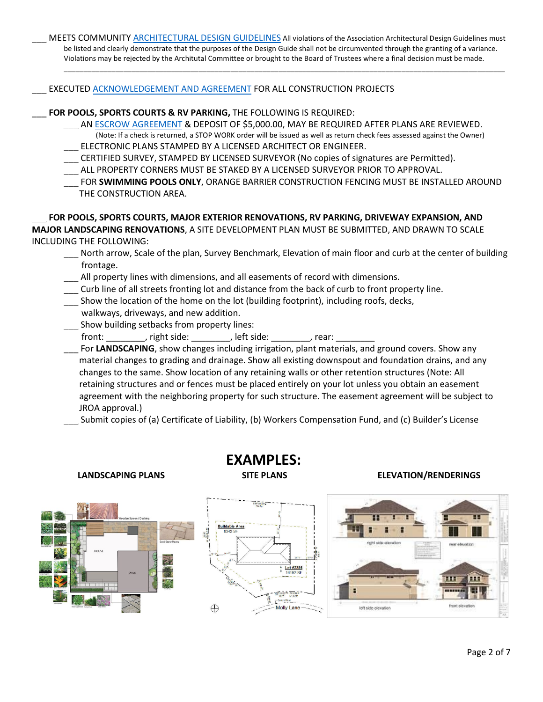MEETS COMMUNITY [ARCHITECTURAL DESIGN GUIDELINES](https://jrhoa.com/pdfs/JROA-Architectural-Guidelines.pdf) All violations of the Association Architectural Design Guidelines must be listed and clearly demonstrate that the purposes of the Design Guide shall not be circumvented through the granting of a variance. Violations may be rejected by the Architutal Committee or brought to the Board of Trustees where a final decision must be made.

\_\_\_\_\_\_\_\_\_\_\_\_\_\_\_\_\_\_\_\_\_\_\_\_\_\_\_\_\_\_\_\_\_\_\_\_\_\_\_\_\_\_\_\_\_\_\_\_\_\_\_\_\_\_\_\_\_\_\_\_\_\_\_\_\_\_\_\_\_\_\_\_\_\_\_\_\_\_\_\_\_\_\_\_\_\_\_\_\_\_\_\_\_\_\_\_\_\_\_\_\_\_\_\_\_\_\_\_\_\_\_

EXECUTED [ACKNOWLEDGEMENT AND AGREEMENT](https://jrhoa.com/wp-content/uploads/2020/09/JROA-Acknowledgement-and-Agreement-for-all-Const-09.11.20.pdf) FOR ALL CONSTRUCTION PROJECTS

# \_\_\_ **FOR POOLS, SPORTS COURTS & RV PARKING,** THE FOLLOWING IS REQUIRED:

- AN<ESCROW AGREEMENT> & DEPOSIT OF \$5,000.00, MAY BE REQUIRED AFTER PLANS ARE REVIEWED. (Note: If a check is returned, a STOP WORK order will be issued as well as return check fees assessed against the Owner) ELECTRONIC PLANS STAMPED BY A LICENSED ARCHITECT OR ENGINEER.
- \_\_\_ CERTIFIED SURVEY, STAMPED BY LICENSED SURVEYOR (No copies of signatures are Permitted).
- ALL PROPERTY CORNERS MUST BE STAKED BY A LICENSED SURVEYOR PRIOR TO APPROVAL.
- FOR **SWIMMING POOLS ONLY**, ORANGE BARRIER CONSTRUCTION FENCING MUST BE INSTALLED AROUND THE CONSTRUCTION AREA.

\_\_\_ **FOR POOLS, SPORTS COURTS, MAJOR EXTERIOR RENOVATIONS, RV PARKING, DRIVEWAY EXPANSION, AND MAJOR LANDSCAPING RENOVATIONS**, A SITE DEVELOPMENT PLAN MUST BE SUBMITTED, AND DRAWN TO SCALE INCLUDING THE FOLLOWING:

- North arrow, Scale of the plan, Survey Benchmark, Elevation of main floor and curb at the center of building frontage.
- All property lines with dimensions, and all easements of record with dimensions.
- \_\_\_ Curb line of all streets fronting lot and distance from the back of curb to front property line.
- Show the location of the home on the lot (building footprint), including roofs, decks, walkways, driveways, and new addition.
- Show building setbacks from property lines: front: front: front: fight side: fight side:  $\qquad \qquad$ , rear:

For LANDSCAPING, show changes including irrigation, plant materials, and ground covers. Show any material changes to grading and drainage. Show all existing downspout and foundation drains, and any changes to the same. Show location of any retaining walls or other retention structures (Note: All retaining structures and or fences must be placed entirely on your lot unless you obtain an easement agreement with the neighboring property for such structure. The easement agreement will be subject to JROA approval.)

Submit copies of (a) Certificate of Liability, (b) Workers Compensation Fund, and (c) Builder's License

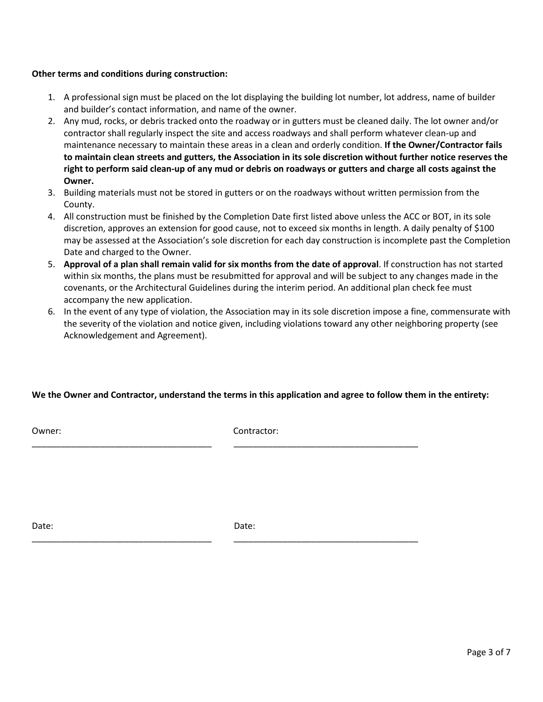## **Other terms and conditions during construction:**

- 1. A professional sign must be placed on the lot displaying the building lot number, lot address, name of builder and builder's contact information, and name of the owner.
- 2. Any mud, rocks, or debris tracked onto the roadway or in gutters must be cleaned daily. The lot owner and/or contractor shall regularly inspect the site and access roadways and shall perform whatever clean-up and maintenance necessary to maintain these areas in a clean and orderly condition. **If the Owner/Contractor fails to maintain clean streets and gutters, the Association in its sole discretion without further notice reserves the right to perform said clean-up of any mud or debris on roadways or gutters and charge all costs against the Owner.**
- 3. Building materials must not be stored in gutters or on the roadways without written permission from the County.
- 4. All construction must be finished by the Completion Date first listed above unless the ACC or BOT, in its sole discretion, approves an extension for good cause, not to exceed six months in length. A daily penalty of \$100 may be assessed at the Association's sole discretion for each day construction is incomplete past the Completion Date and charged to the Owner.
- 5. **Approval of a plan shall remain valid for six months from the date of approval**. If construction has not started within six months, the plans must be resubmitted for approval and will be subject to any changes made in the covenants, or the Architectural Guidelines during the interim period. An additional plan check fee must accompany the new application.
- 6. In the event of any type of violation, the Association may in its sole discretion impose a fine, commensurate with the severity of the violation and notice given, including violations toward any other neighboring property (see Acknowledgement and Agreement).

# **We the Owner and Contractor, understand the terms in this application and agree to follow them in the entirety:**

Owner: Contractor:

\_\_\_\_\_\_\_\_\_\_\_\_\_\_\_\_\_\_\_\_\_\_\_\_\_\_\_\_\_\_\_\_\_\_\_\_\_ \_\_\_\_\_\_\_\_\_\_\_\_\_\_\_\_\_\_\_\_\_\_\_\_\_\_\_\_\_\_\_\_\_\_\_\_\_\_

\_\_\_\_\_\_\_\_\_\_\_\_\_\_\_\_\_\_\_\_\_\_\_\_\_\_\_\_\_\_\_\_\_\_\_\_\_ \_\_\_\_\_\_\_\_\_\_\_\_\_\_\_\_\_\_\_\_\_\_\_\_\_\_\_\_\_\_\_\_\_\_\_\_\_\_

Date: **Date:** Date: **Date:** Partnership of the Date: **Date:** Partnership of the Date: **Date:**  $\theta$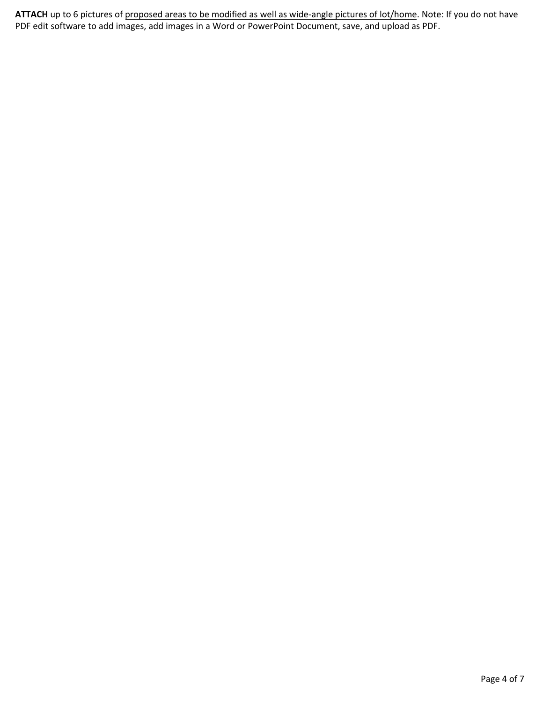**ATTACH** up to 6 pictures of proposed areas to be modified as well as wide-angle pictures of lot/home. Note: If you do not have PDF edit software to add images, add images in a Word or PowerPoint Document, save, and upload as PDF.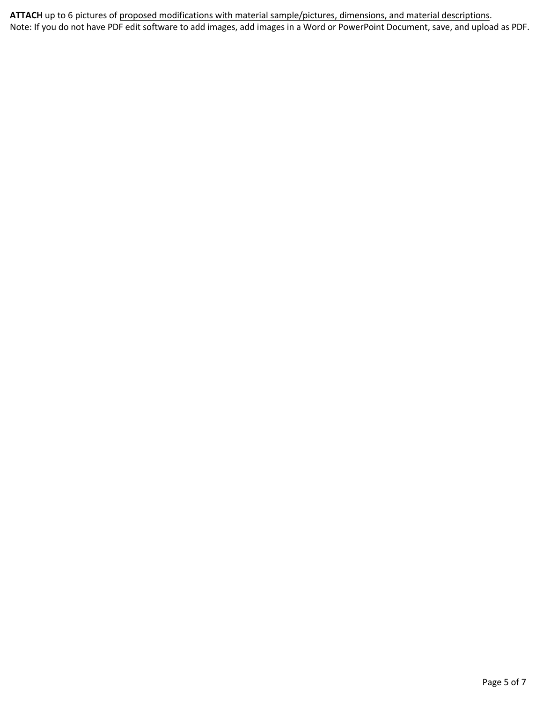**ATTACH** up to 6 pictures of proposed modifications with material sample/pictures, dimensions, and material descriptions. Note: If you do not have PDF edit software to add images, add images in a Word or PowerPoint Document, save, and upload as PDF.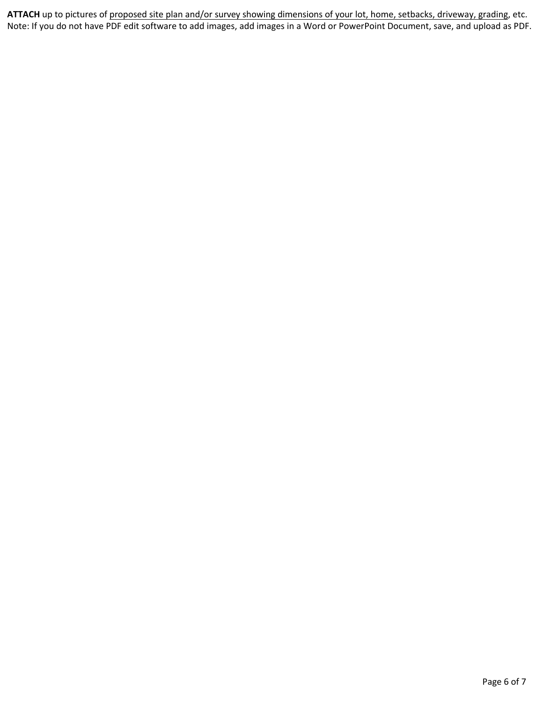**ATTACH** up to pictures of proposed site plan and/or survey showing dimensions of your lot, home, setbacks, driveway, grading, etc. Note: If you do not have PDF edit software to add images, add images in a Word or PowerPoint Document, save, and upload as PDF.